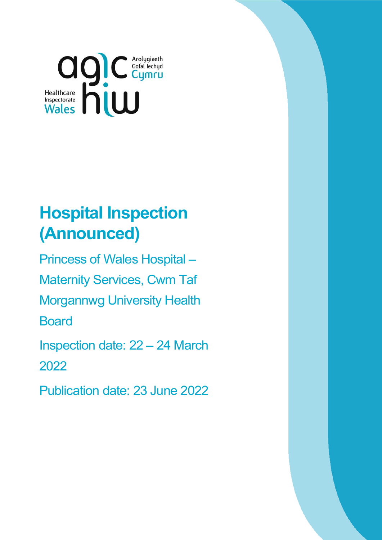

# **Hospital Inspection (Announced)**

Princess of Wales Hospital – Maternity Services, Cwm Taf Morgannwg University Health **Board** Inspection date: 22 – 24 March

2022

Publication date: 23 June 2022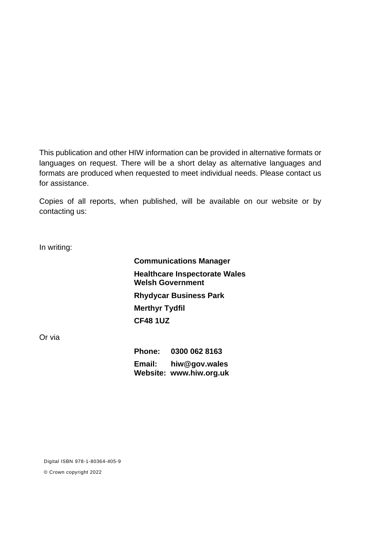This publication and other HIW information can be provided in alternative formats or languages on request. There will be a short delay as alternative languages and formats are produced when requested to meet individual needs. Please contact us for assistance.

Copies of all reports, when published, will be available on our website or by contacting us:

In writing:

**Communications Manager Healthcare Inspectorate Wales Welsh Government Rhydycar Business Park Merthyr Tydfil CF48 1UZ**

Or via

**Phone: 0300 062 8163 Email: [hiw@gov.wales](mailto:hiw@gov.wales) Website: [www.hiw.org.uk](http://www.hiw.org.uk/)**

Digital ISBN 978-1-80364-405-9

© Crown copyright 2022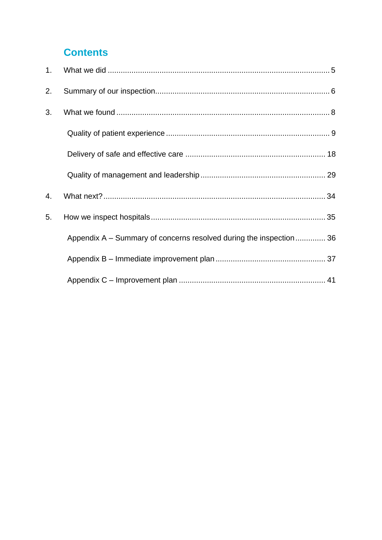## **Contents**

| 2. |                                                                    |
|----|--------------------------------------------------------------------|
| 3. |                                                                    |
|    |                                                                    |
|    |                                                                    |
|    |                                                                    |
| 4. |                                                                    |
| 5. |                                                                    |
|    | Appendix A – Summary of concerns resolved during the inspection 36 |
|    |                                                                    |
|    |                                                                    |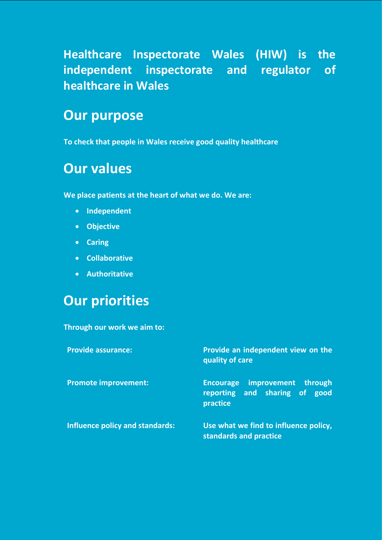**Healthcare Inspectorate Wales (HIW) is the independent inspectorate and regulator of healthcare in Wales** 

## **Our purpose**

**To check that people in Wales receive good quality healthcare**

## **Our values**

**We place patients at the heart of what we do. We are:**

- **Independent**
- **Objective**
- **Caring**
- **Collaborative**
- **Authoritative**

## **Our priorities**

**Through our work we aim to:** 

| <b>Provide assurance:</b>       | Provide an independent view on the<br>quality of care                                |  |
|---------------------------------|--------------------------------------------------------------------------------------|--|
| <b>Promote improvement:</b>     | improvement through<br><b>Encourage</b><br>reporting and sharing of good<br>practice |  |
| Influence policy and standards: | Use what we find to influence policy,<br>standards and practice                      |  |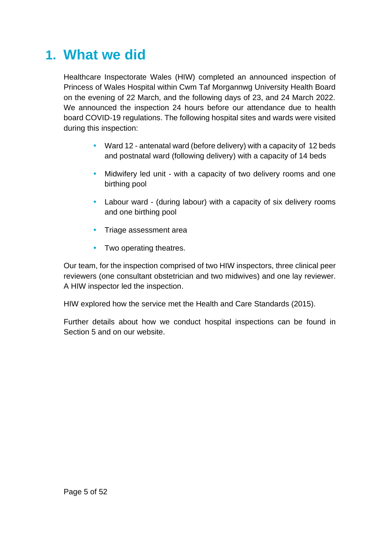## <span id="page-4-0"></span>**1. What we did**

Healthcare Inspectorate Wales (HIW) completed an announced inspection of Princess of Wales Hospital within Cwm Taf Morgannwg University Health Board on the evening of 22 March, and the following days of 23, and 24 March 2022. We announced the inspection 24 hours before our attendance due to health board COVID-19 regulations. The following hospital sites and wards were visited during this inspection:

- Ward 12 antenatal ward (before delivery) with a capacity of 12 beds and postnatal ward (following delivery) with a capacity of 14 beds
- Midwifery led unit with a capacity of two delivery rooms and one birthing pool
- Labour ward (during labour) with a capacity of six delivery rooms and one birthing pool
- Triage assessment area
- Two operating theatres.

Our team, for the inspection comprised of two HIW inspectors, three clinical peer reviewers (one consultant obstetrician and two midwives) and one lay reviewer. A HIW inspector led the inspection.

HIW explored how the service met the Health and Care Standards (2015).

Further details about how we conduct hospital inspections can be found in Section 5 and on our website.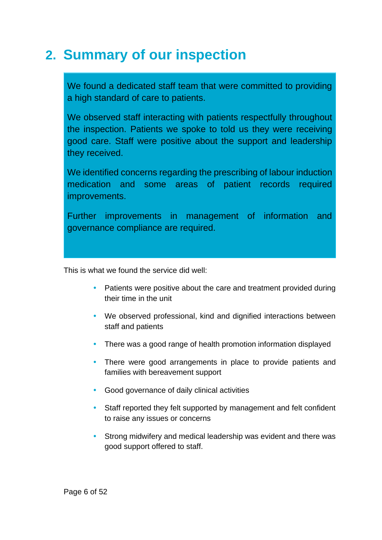## <span id="page-5-0"></span>**2. Summary of our inspection**

We found a dedicated staff team that were committed to providing a high standard of care to patients.

We observed staff interacting with patients respectfully throughout the inspection. Patients we spoke to told us they were receiving good care. Staff were positive about the support and leadership they received.

We identified concerns regarding the prescribing of labour induction medication and some areas of patient records required improvements.

Further improvements in management of information and governance compliance are required.

This is what we found the service did well:

- Patients were positive about the care and treatment provided during their time in the unit
- We observed professional, kind and dignified interactions between staff and patients
- There was a good range of health promotion information displayed
- There were good arrangements in place to provide patients and families with bereavement support
- Good governance of daily clinical activities
- Staff reported they felt supported by management and felt confident to raise any issues or concerns
- Strong midwifery and medical leadership was evident and there was good support offered to staff.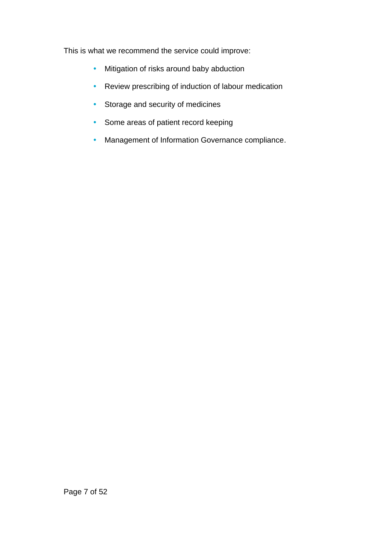This is what we recommend the service could improve:

- Mitigation of risks around baby abduction
- Review prescribing of induction of labour medication
- Storage and security of medicines
- Some areas of patient record keeping
- Management of Information Governance compliance.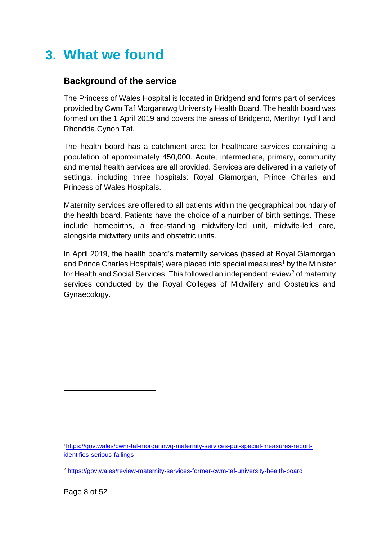## <span id="page-7-0"></span>**3. What we found**

### **Background of the service**

The Princess of Wales Hospital is located in Bridgend and forms part of services provided by Cwm Taf Morgannwg University Health Board. The health board was formed on the 1 April 2019 and covers the areas of Bridgend, Merthyr Tydfil and Rhondda Cynon Taf.

The health board has a catchment area for healthcare services containing a population of approximately 450,000. Acute, intermediate, primary, community and mental health services are all provided. Services are delivered in a variety of settings, including three hospitals: Royal Glamorgan, Prince Charles and Princess of Wales Hospitals.

Maternity services are offered to all patients within the geographical boundary of the health board. Patients have the choice of a number of birth settings. These include homebirths, a free-standing midwifery-led unit, midwife-led care, alongside midwifery units and obstetric units.

In April 2019, the health board's maternity services (based at Royal Glamorgan and Prince Charles Hospitals) were placed into special measures<sup>1</sup> by the Minister for Health and Social Services. This followed an independent review<sup>2</sup> of maternity services conducted by the Royal Colleges of Midwifery and Obstetrics and Gynaecology.

<sup>1</sup>[https://gov.wales/cwm-taf-morgannwg-maternity-services-put-special-measures-report](https://gov.wales/cwm-taf-morgannwg-maternity-services-put-special-measures-report-identifies-serious-failings)[identifies-serious-failings](https://gov.wales/cwm-taf-morgannwg-maternity-services-put-special-measures-report-identifies-serious-failings)

<sup>2</sup> <https://gov.wales/review-maternity-services-former-cwm-taf-university-health-board>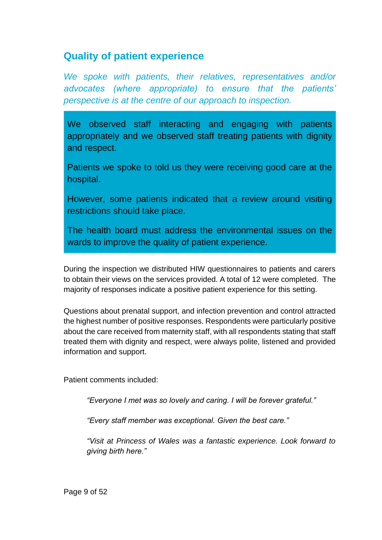## <span id="page-8-0"></span>**Quality of patient experience**

*We spoke with patients, their relatives, representatives and/or advocates (where appropriate) to ensure that the patients' perspective is at the centre of our approach to inspection.*

We observed staff interacting and engaging with patients appropriately and we observed staff treating patients with dignity and respect.

Patients we spoke to told us they were receiving good care at the hospital.

However, some patients indicated that a review around visiting restrictions should take place.

The health board must address the environmental issues on the wards to improve the quality of patient experience.

During the inspection we distributed HIW questionnaires to patients and carers to obtain their views on the services provided. A total of 12 were completed. The majority of responses indicate a positive patient experience for this setting.

Questions about prenatal support, and infection prevention and control attracted the highest number of positive responses. Respondents were particularly positive about the care received from maternity staff, with all respondents stating that staff treated them with dignity and respect, were always polite, listened and provided information and support.

Patient comments included:

*"Everyone I met was so lovely and caring. I will be forever grateful."*

*"Every staff member was exceptional. Given the best care."*

*"Visit at Princess of Wales was a fantastic experience. Look forward to giving birth here."*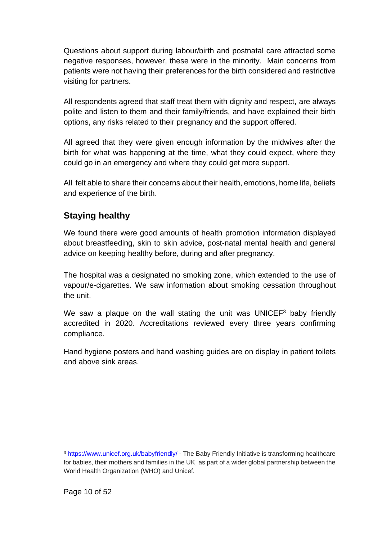Questions about support during labour/birth and postnatal care attracted some negative responses, however, these were in the minority. Main concerns from patients were not having their preferences for the birth considered and restrictive visiting for partners.

All respondents agreed that staff treat them with dignity and respect, are always polite and listen to them and their family/friends, and have explained their birth options, any risks related to their pregnancy and the support offered.

All agreed that they were given enough information by the midwives after the birth for what was happening at the time, what they could expect, where they could go in an emergency and where they could get more support.

All felt able to share their concerns about their health, emotions, home life, beliefs and experience of the birth.

### **Staying healthy**

We found there were good amounts of health promotion information displayed about breastfeeding, skin to skin advice, post-natal mental health and general advice on keeping healthy before, during and after pregnancy.

The hospital was a designated no smoking zone, which extended to the use of vapour/e-cigarettes. We saw information about smoking cessation throughout the unit.

We saw a plaque on the wall stating the unit was UNICEF<sup>3</sup> baby friendly accredited in 2020. Accreditations reviewed every three years confirming compliance.

Hand hygiene posters and hand washing guides are on display in patient toilets and above sink areas.

<sup>3</sup> <https://www.unicef.org.uk/babyfriendly/> - The Baby Friendly Initiative is transforming healthcare for babies, their mothers and families in the UK, as part of a wider global partnership between the World Health Organization (WHO) and Unicef.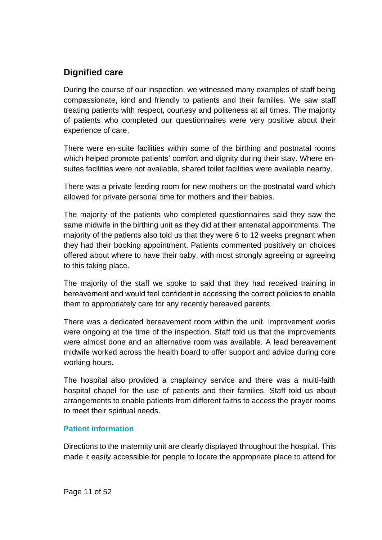### **Dignified care**

During the course of our inspection, we witnessed many examples of staff being compassionate, kind and friendly to patients and their families. We saw staff treating patients with respect, courtesy and politeness at all times. The majority of patients who completed our questionnaires were very positive about their experience of care.

There were en-suite facilities within some of the birthing and postnatal rooms which helped promote patients' comfort and dignity during their stay. Where ensuites facilities were not available, shared toilet facilities were available nearby.

There was a private feeding room for new mothers on the postnatal ward which allowed for private personal time for mothers and their babies.

The majority of the patients who completed questionnaires said they saw the same midwife in the birthing unit as they did at their antenatal appointments. The majority of the patients also told us that they were 6 to 12 weeks pregnant when they had their booking appointment. Patients commented positively on choices offered about where to have their baby, with most strongly agreeing or agreeing to this taking place.

The majority of the staff we spoke to said that they had received training in bereavement and would feel confident in accessing the correct policies to enable them to appropriately care for any recently bereaved parents.

There was a dedicated bereavement room within the unit. Improvement works were ongoing at the time of the inspection. Staff told us that the improvements were almost done and an alternative room was available. A lead bereavement midwife worked across the health board to offer support and advice during core working hours.

The hospital also provided a chaplaincy service and there was a multi-faith hospital chapel for the use of patients and their families. Staff told us about arrangements to enable patients from different faiths to access the prayer rooms to meet their spiritual needs.

#### **Patient information**

Directions to the maternity unit are clearly displayed throughout the hospital. This made it easily accessible for people to locate the appropriate place to attend for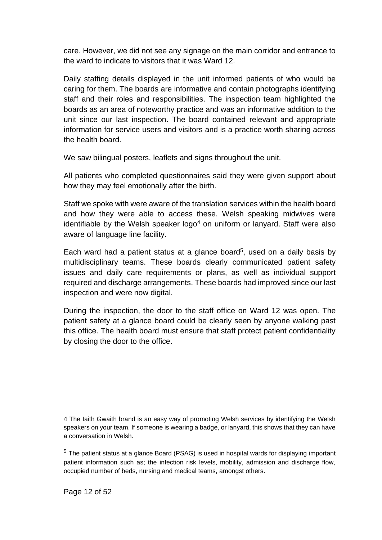care. However, we did not see any signage on the main corridor and entrance to the ward to indicate to visitors that it was Ward 12.

Daily staffing details displayed in the unit informed patients of who would be caring for them. The boards are informative and contain photographs identifying staff and their roles and responsibilities. The inspection team highlighted the boards as an area of noteworthy practice and was an informative addition to the unit since our last inspection. The board contained relevant and appropriate information for service users and visitors and is a practice worth sharing across the health board.

We saw bilingual posters, leaflets and signs throughout the unit.

All patients who completed questionnaires said they were given support about how they may feel emotionally after the birth.

Staff we spoke with were aware of the translation services within the health board and how they were able to access these. Welsh speaking midwives were identifiable by the Welsh speaker logo<sup>4</sup> on uniform or lanyard. Staff were also aware of language line facility.

Each ward had a patient status at a glance board<sup>5</sup>, used on a daily basis by multidisciplinary teams. These boards clearly communicated patient safety issues and daily care requirements or plans, as well as individual support required and discharge arrangements. These boards had improved since our last inspection and were now digital.

During the inspection, the door to the staff office on Ward 12 was open. The patient safety at a glance board could be clearly seen by anyone walking past this office. The health board must ensure that staff protect patient confidentiality by closing the door to the office.

<sup>4</sup> The Iaith Gwaith brand is an easy way of promoting Welsh services by identifying the Welsh speakers on your team. If someone is wearing a badge, or lanyard, this shows that they can have a conversation in Welsh.

<sup>5</sup> The patient status at a glance Board (PSAG) is used in hospital wards for displaying important patient information such as; the infection risk levels, mobility, admission and discharge flow, occupied number of beds, nursing and medical teams, amongst others.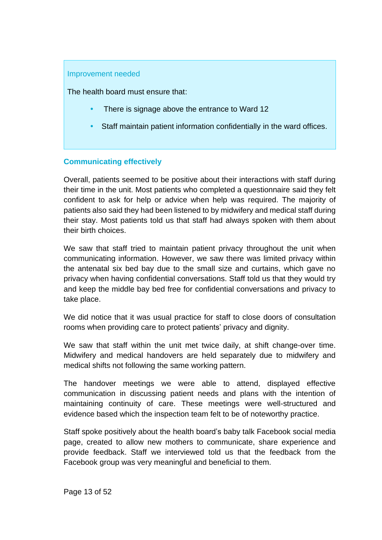#### Improvement needed

The health board must ensure that:

- There is signage above the entrance to Ward 12
- Staff maintain patient information confidentially in the ward offices.

#### **Communicating effectively**

Overall, patients seemed to be positive about their interactions with staff during their time in the unit. Most patients who completed a questionnaire said they felt confident to ask for help or advice when help was required. The majority of patients also said they had been listened to by midwifery and medical staff during their stay. Most patients told us that staff had always spoken with them about their birth choices.

We saw that staff tried to maintain patient privacy throughout the unit when communicating information. However, we saw there was limited privacy within the antenatal six bed bay due to the small size and curtains, which gave no privacy when having confidential conversations. Staff told us that they would try and keep the middle bay bed free for confidential conversations and privacy to take place.

We did notice that it was usual practice for staff to close doors of consultation rooms when providing care to protect patients' privacy and dignity.

We saw that staff within the unit met twice daily, at shift change-over time. Midwifery and medical handovers are held separately due to midwifery and medical shifts not following the same working pattern.

The handover meetings we were able to attend, displayed effective communication in discussing patient needs and plans with the intention of maintaining continuity of care. These meetings were well-structured and evidence based which the inspection team felt to be of noteworthy practice.

Staff spoke positively about the health board's baby talk Facebook social media page, created to allow new mothers to communicate, share experience and provide feedback. Staff we interviewed told us that the feedback from the Facebook group was very meaningful and beneficial to them.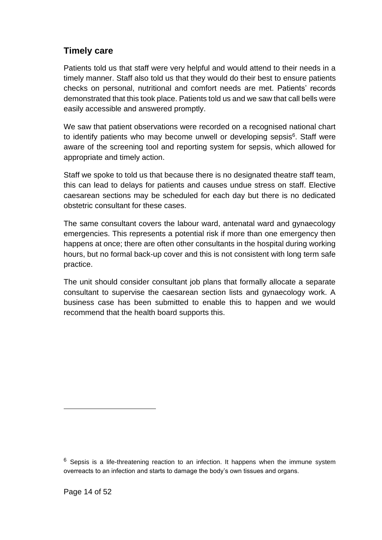### **Timely care**

Patients told us that staff were very helpful and would attend to their needs in a timely manner. Staff also told us that they would do their best to ensure patients checks on personal, nutritional and comfort needs are met. Patients' records demonstrated that this took place. Patients told us and we saw that call bells were easily accessible and answered promptly.

We saw that patient observations were recorded on a recognised national chart to identify patients who may become unwell or developing sepsis<sup>6</sup>. Staff were aware of the screening tool and reporting system for sepsis, which allowed for appropriate and timely action.

Staff we spoke to told us that because there is no designated theatre staff team, this can lead to delays for patients and causes undue stress on staff. Elective caesarean sections may be scheduled for each day but there is no dedicated obstetric consultant for these cases.

The same consultant covers the labour ward, antenatal ward and gynaecology emergencies. This represents a potential risk if more than one emergency then happens at once; there are often other consultants in the hospital during working hours, but no formal back-up cover and this is not consistent with long term safe practice.

The unit should consider consultant job plans that formally allocate a separate consultant to supervise the caesarean section lists and gynaecology work. A business case has been submitted to enable this to happen and we would recommend that the health board supports this.

 $6$  Sepsis is a life-threatening reaction to an infection. It happens when the immune system overreacts to an infection and starts to damage the body's own tissues and organs.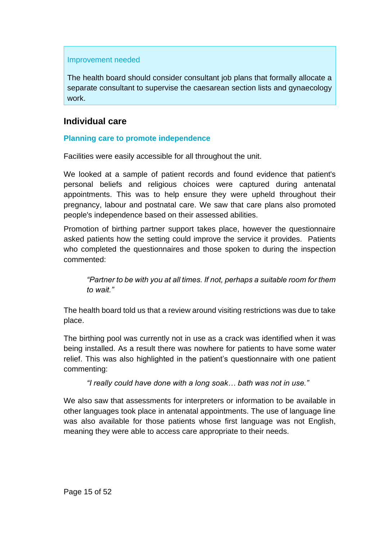#### Improvement needed

The health board should consider consultant job plans that formally allocate a separate consultant to supervise the caesarean section lists and gynaecology work.

### **Individual care**

#### **Planning care to promote independence**

Facilities were easily accessible for all throughout the unit.

We looked at a sample of patient records and found evidence that patient's personal beliefs and religious choices were captured during antenatal appointments. This was to help ensure they were upheld throughout their pregnancy, labour and postnatal care. We saw that care plans also promoted people's independence based on their assessed abilities.

Promotion of birthing partner support takes place, however the questionnaire asked patients how the setting could improve the service it provides. Patients who completed the questionnaires and those spoken to during the inspection commented:

*"Partner to be with you at all times. If not, perhaps a suitable room for them to wait."*

The health board told us that a review around visiting restrictions was due to take place.

The birthing pool was currently not in use as a crack was identified when it was being installed. As a result there was nowhere for patients to have some water relief. This was also highlighted in the patient's questionnaire with one patient commenting:

*"I really could have done with a long soak… bath was not in use."*

We also saw that assessments for interpreters or information to be available in other languages took place in antenatal appointments. The use of language line was also available for those patients whose first language was not English, meaning they were able to access care appropriate to their needs.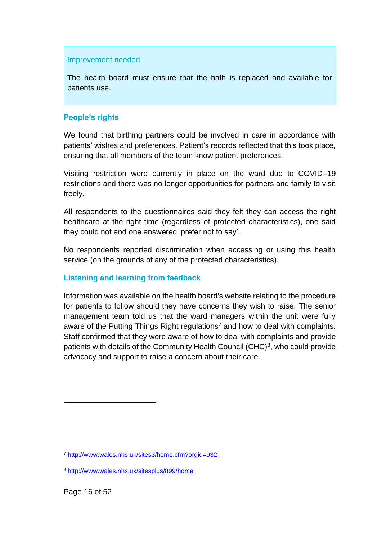#### Improvement needed

The health board must ensure that the bath is replaced and available for patients use.

#### **People's rights**

We found that birthing partners could be involved in care in accordance with patients' wishes and preferences. Patient's records reflected that this took place, ensuring that all members of the team know patient preferences.

Visiting restriction were currently in place on the ward due to COVID–19 restrictions and there was no longer opportunities for partners and family to visit freely.

All respondents to the questionnaires said they felt they can access the right healthcare at the right time (regardless of protected characteristics), one said they could not and one answered 'prefer not to say'.

No respondents reported discrimination when accessing or using this health service (on the grounds of any of the protected characteristics).

#### **Listening and learning from feedback**

Information was available on the health board's website relating to the procedure for patients to follow should they have concerns they wish to raise. The senior management team told us that the ward managers within the unit were fully aware of the Putting Things Right regulations<sup>7</sup> and how to deal with complaints. Staff confirmed that they were aware of how to deal with complaints and provide patients with details of the Community Health Council  $(CHC)^8$ , who could provide advocacy and support to raise a concern about their care.

<sup>7</sup> <http://www.wales.nhs.uk/sites3/home.cfm?orgid=932>

<sup>8</sup> <http://www.wales.nhs.uk/sitesplus/899/home>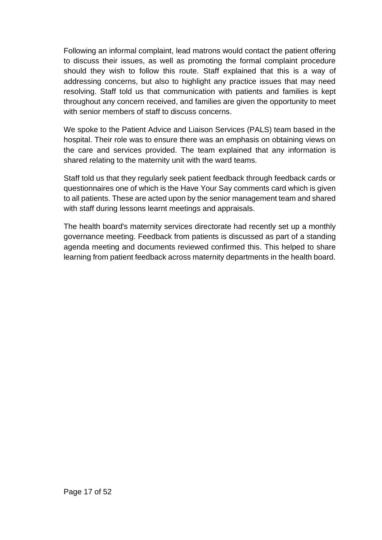Following an informal complaint, lead matrons would contact the patient offering to discuss their issues, as well as promoting the formal complaint procedure should they wish to follow this route. Staff explained that this is a way of addressing concerns, but also to highlight any practice issues that may need resolving. Staff told us that communication with patients and families is kept throughout any concern received, and families are given the opportunity to meet with senior members of staff to discuss concerns.

We spoke to the Patient Advice and Liaison Services (PALS) team based in the hospital. Their role was to ensure there was an emphasis on obtaining views on the care and services provided. The team explained that any information is shared relating to the maternity unit with the ward teams.

Staff told us that they regularly seek patient feedback through feedback cards or questionnaires one of which is the Have Your Say comments card which is given to all patients. These are acted upon by the senior management team and shared with staff during lessons learnt meetings and appraisals.

The health board's maternity services directorate had recently set up a monthly governance meeting. Feedback from patients is discussed as part of a standing agenda meeting and documents reviewed confirmed this. This helped to share learning from patient feedback across maternity departments in the health board.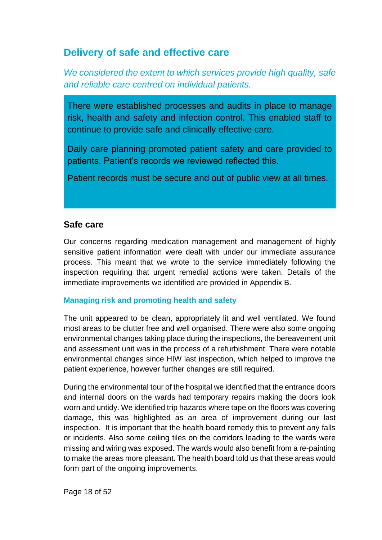## <span id="page-17-0"></span>**Delivery of safe and effective care**

*We considered the extent to which services provide high quality, safe and reliable care centred on individual patients.*

There were established processes and audits in place to manage risk, health and safety and infection control. This enabled staff to continue to provide safe and clinically effective care.

Daily care planning promoted patient safety and care provided to patients. Patient's records we reviewed reflected this.

Patient records must be secure and out of public view at all times.

#### **Safe care**

Our concerns regarding medication management and management of highly sensitive patient information were dealt with under our immediate assurance process. This meant that we wrote to the service immediately following the inspection requiring that urgent remedial actions were taken. Details of the immediate improvements we identified are provided in Appendix B.

#### **Managing risk and promoting health and safety**

The unit appeared to be clean, appropriately lit and well ventilated. We found most areas to be clutter free and well organised. There were also some ongoing environmental changes taking place during the inspections, the bereavement unit and assessment unit was in the process of a refurbishment. There were notable environmental changes since HIW last inspection, which helped to improve the patient experience, however further changes are still required.

During the environmental tour of the hospital we identified that the entrance doors and internal doors on the wards had temporary repairs making the doors look worn and untidy. We identified trip hazards where tape on the floors was covering damage, this was highlighted as an area of improvement during our last inspection. It is important that the health board remedy this to prevent any falls or incidents. Also some ceiling tiles on the corridors leading to the wards were missing and wiring was exposed. The wards would also benefit from a re-painting to make the areas more pleasant. The health board told us that these areas would form part of the ongoing improvements.

Page 18 of 52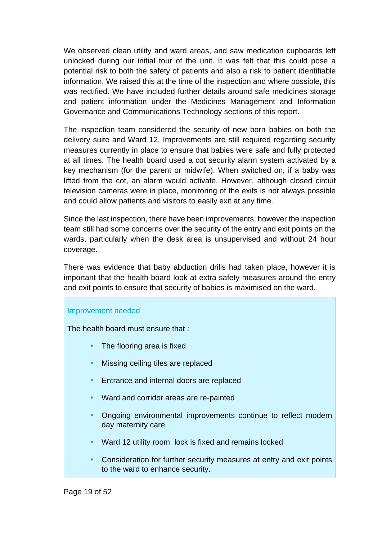We observed clean utility and ward areas, and saw medication cupboards left unlocked during our initial tour of the unit. It was felt that this could pose a potential risk to both the safety of patients and also a risk to patient identifiable information. We raised this at the time of the inspection and where possible, this was rectified. We have included further details around safe medicines storage and patient information under the Medicines Management and Information Governance and Communications Technology sections of this report.

The inspection team considered the security of new born babies on both the delivery suite and Ward 12. Improvements are still required regarding security measures currently in place to ensure that babies were safe and fully protected at all times. The health board used a cot security alarm system activated by a key mechanism (for the parent or midwife). When switched on, if a baby was lifted from the cot, an alarm would activate. However, although closed circuit television cameras were in place, monitoring of the exits is not always possible and could allow patients and visitors to easily exit at any time.

Since the last inspection, there have been improvements, however the inspection team still had some concerns over the security of the entry and exit points on the wards, particularly when the desk area is unsupervised and without 24 hour coverage.

There was evidence that baby abduction drills had taken place, however it is important that the health board look at extra safety measures around the entry and exit points to ensure that security of babies is maximised on the ward.

#### Improvement needed

The health board must ensure that :

- The flooring area is fixed
- Missing ceiling tiles are replaced
- **Entrance and internal doors are replaced**
- Ward and corridor areas are re-painted
- Ongoing environmental improvements continue to reflect modern day maternity care
- Ward 12 utility room lock is fixed and remains locked
- Consideration for further security measures at entry and exit points to the ward to enhance security.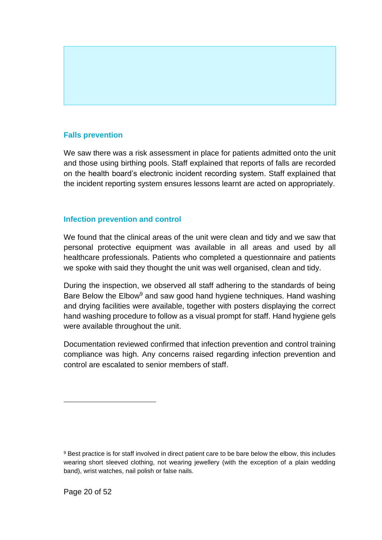#### **Falls prevention**

We saw there was a risk assessment in place for patients admitted onto the unit and those using birthing pools. Staff explained that reports of falls are recorded on the health board's electronic incident recording system. Staff explained that the incident reporting system ensures lessons learnt are acted on appropriately.

#### **Infection prevention and control**

We found that the clinical areas of the unit were clean and tidy and we saw that personal protective equipment was available in all areas and used by all healthcare professionals. Patients who completed a questionnaire and patients we spoke with said they thought the unit was well organised, clean and tidy.

During the inspection, we observed all staff adhering to the standards of being Bare Below the Elbow<sup>9</sup> and saw good hand hygiene techniques. Hand washing and drying facilities were available, together with posters displaying the correct hand washing procedure to follow as a visual prompt for staff. Hand hygiene gels were available throughout the unit.

Documentation reviewed confirmed that infection prevention and control training compliance was high. Any concerns raised regarding infection prevention and control are escalated to senior members of staff.

<sup>9</sup> Best practice is for staff involved in direct patient care to be bare below the elbow, this includes wearing short sleeved clothing, not wearing jewellery (with the exception of a plain wedding band), wrist watches, nail polish or false nails.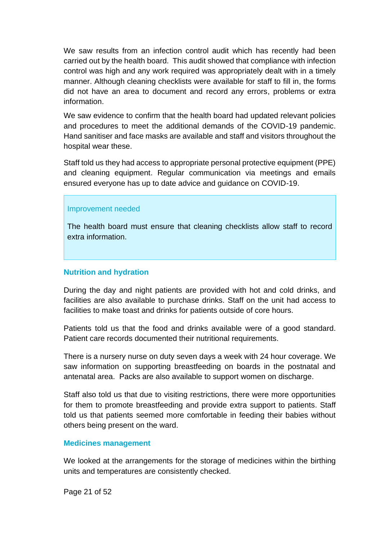We saw results from an infection control audit which has recently had been carried out by the health board. This audit showed that compliance with infection control was high and any work required was appropriately dealt with in a timely manner. Although cleaning checklists were available for staff to fill in, the forms did not have an area to document and record any errors, problems or extra information.

We saw evidence to confirm that the health board had updated relevant policies and procedures to meet the additional demands of the COVID-19 pandemic. Hand sanitiser and face masks are available and staff and visitors throughout the hospital wear these.

Staff told us they had access to appropriate personal protective equipment (PPE) and cleaning equipment. Regular communication via meetings and emails ensured everyone has up to date advice and guidance on COVID-19.

#### Improvement needed

The health board must ensure that cleaning checklists allow staff to record extra information.

#### **Nutrition and hydration**

During the day and night patients are provided with hot and cold drinks, and facilities are also available to purchase drinks. Staff on the unit had access to facilities to make toast and drinks for patients outside of core hours.

Patients told us that the food and drinks available were of a good standard. Patient care records documented their nutritional requirements.

There is a nursery nurse on duty seven days a week with 24 hour coverage. We saw information on supporting breastfeeding on boards in the postnatal and antenatal area. Packs are also available to support women on discharge.

Staff also told us that due to visiting restrictions, there were more opportunities for them to promote breastfeeding and provide extra support to patients. Staff told us that patients seemed more comfortable in feeding their babies without others being present on the ward.

#### **Medicines management**

We looked at the arrangements for the storage of medicines within the birthing units and temperatures are consistently checked.

Page 21 of 52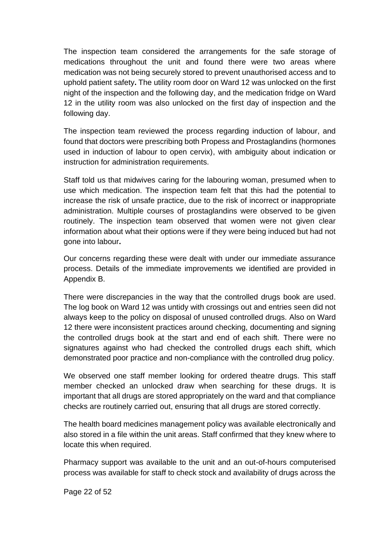The inspection team considered the arrangements for the safe storage of medications throughout the unit and found there were two areas where medication was not being securely stored to prevent unauthorised access and to uphold patient safety**.** The utility room door on Ward 12 was unlocked on the first night of the inspection and the following day, and the medication fridge on Ward 12 in the utility room was also unlocked on the first day of inspection and the following day.

The inspection team reviewed the process regarding induction of labour, and found that doctors were prescribing both Propess and Prostaglandins (hormones used in induction of labour to open cervix), with ambiguity about indication or instruction for administration requirements.

Staff told us that midwives caring for the labouring woman, presumed when to use which medication. The inspection team felt that this had the potential to increase the risk of unsafe practice, due to the risk of incorrect or inappropriate administration. Multiple courses of prostaglandins were observed to be given routinely. The inspection team observed that women were not given clear information about what their options were if they were being induced but had not gone into labour**.**

Our concerns regarding these were dealt with under our immediate assurance process. Details of the immediate improvements we identified are provided in Appendix B.

There were discrepancies in the way that the controlled drugs book are used. The log book on Ward 12 was untidy with crossings out and entries seen did not always keep to the policy on disposal of unused controlled drugs. Also on Ward 12 there were inconsistent practices around checking, documenting and signing the controlled drugs book at the start and end of each shift. There were no signatures against who had checked the controlled drugs each shift, which demonstrated poor practice and non-compliance with the controlled drug policy.

We observed one staff member looking for ordered theatre drugs. This staff member checked an unlocked draw when searching for these drugs. It is important that all drugs are stored appropriately on the ward and that compliance checks are routinely carried out, ensuring that all drugs are stored correctly.

The health board medicines management policy was available electronically and also stored in a file within the unit areas. Staff confirmed that they knew where to locate this when required.

Pharmacy support was available to the unit and an out-of-hours computerised process was available for staff to check stock and availability of drugs across the

Page 22 of 52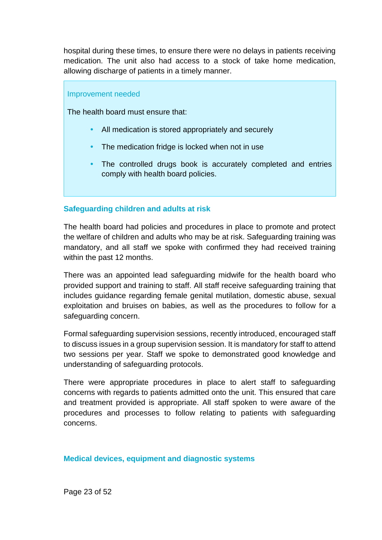hospital during these times, to ensure there were no delays in patients receiving medication. The unit also had access to a stock of take home medication, allowing discharge of patients in a timely manner.

Improvement needed

The health board must ensure that:

- All medication is stored appropriately and securely
- The medication fridge is locked when not in use
- The controlled drugs book is accurately completed and entries comply with health board policies.

#### **Safeguarding children and adults at risk**

The health board had policies and procedures in place to promote and protect the welfare of children and adults who may be at risk. Safeguarding training was mandatory, and all staff we spoke with confirmed they had received training within the past 12 months.

There was an appointed lead safeguarding midwife for the health board who provided support and training to staff. All staff receive safeguarding training that includes guidance regarding female genital mutilation, domestic abuse, sexual exploitation and bruises on babies, as well as the procedures to follow for a safeguarding concern.

Formal safeguarding supervision sessions, recently introduced, encouraged staff to discuss issues in a group supervision session. It is mandatory for staff to attend two sessions per year. Staff we spoke to demonstrated good knowledge and understanding of safeguarding protocols.

There were appropriate procedures in place to alert staff to safeguarding concerns with regards to patients admitted onto the unit. This ensured that care and treatment provided is appropriate. All staff spoken to were aware of the procedures and processes to follow relating to patients with safeguarding concerns.

#### **Medical devices, equipment and diagnostic systems**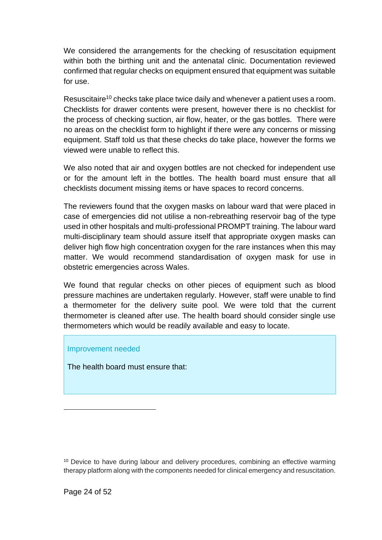We considered the arrangements for the checking of resuscitation equipment within both the birthing unit and the antenatal clinic. Documentation reviewed confirmed that regular checks on equipment ensured that equipment was suitable for use.

Resuscitaire<sup>10</sup> checks take place twice daily and whenever a patient uses a room. Checklists for drawer contents were present, however there is no checklist for the process of checking suction, air flow, heater, or the gas bottles. There were no areas on the checklist form to highlight if there were any concerns or missing equipment. Staff told us that these checks do take place, however the forms we viewed were unable to reflect this.

We also noted that air and oxygen bottles are not checked for independent use or for the amount left in the bottles. The health board must ensure that all checklists document missing items or have spaces to record concerns.

The reviewers found that the oxygen masks on labour ward that were placed in case of emergencies did not utilise a non-rebreathing reservoir bag of the type used in other hospitals and multi-professional PROMPT training. The labour ward multi-disciplinary team should assure itself that appropriate oxygen masks can deliver high flow high concentration oxygen for the rare instances when this may matter. We would recommend standardisation of oxygen mask for use in obstetric emergencies across Wales.

We found that regular checks on other pieces of equipment such as blood pressure machines are undertaken regularly. However, staff were unable to find a thermometer for the delivery suite pool. We were told that the current thermometer is cleaned after use. The health board should consider single use thermometers which would be readily available and easy to locate.

#### Improvement needed

The health board must ensure that:

<sup>&</sup>lt;sup>10</sup> Device to have during labour and delivery procedures, combining an effective warming therapy platform along with the components needed for clinical emergency and resuscitation.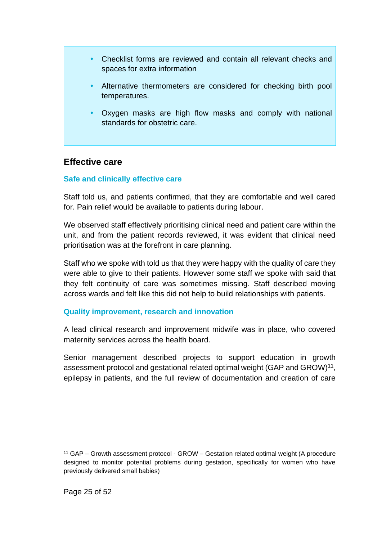- Checklist forms are reviewed and contain all relevant checks and spaces for extra information
- Alternative thermometers are considered for checking birth pool temperatures.
- Oxygen masks are high flow masks and comply with national standards for obstetric care.

#### **Effective care**

#### **Safe and clinically effective care**

Staff told us, and patients confirmed, that they are comfortable and well cared for. Pain relief would be available to patients during labour.

We observed staff effectively prioritising clinical need and patient care within the unit, and from the patient records reviewed, it was evident that clinical need prioritisation was at the forefront in care planning.

Staff who we spoke with told us that they were happy with the quality of care they were able to give to their patients. However some staff we spoke with said that they felt continuity of care was sometimes missing. Staff described moving across wards and felt like this did not help to build relationships with patients.

#### **Quality improvement, research and innovation**

A lead clinical research and improvement midwife was in place, who covered maternity services across the health board.

Senior management described projects to support education in growth assessment protocol and gestational related optimal weight (GAP and GROW) $^{11}$ , epilepsy in patients, and the full review of documentation and creation of care

<sup>&</sup>lt;sup>11</sup> GAP – Growth assessment protocol - GROW – Gestation related optimal weight (A procedure designed to monitor potential problems during gestation, specifically for women who have previously delivered small babies)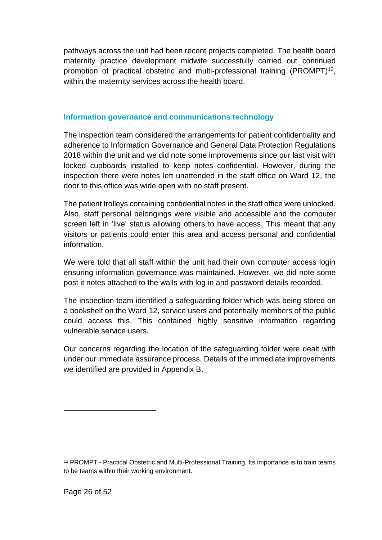pathways across the unit had been recent projects completed. The health board maternity practice development midwife successfully carried out continued promotion of practical obstetric and multi-professional training (PROMPT)<sup>12</sup>, within the maternity services across the health board.

#### **Information governance and communications technology**

The inspection team considered the arrangements for patient confidentiality and adherence to Information Governance and General Data Protection Regulations 2018 within the unit and we did note some improvements since our last visit with locked cupboards installed to keep notes confidential. However, during the inspection there were notes left unattended in the staff office on Ward 12, the door to this office was wide open with no staff present.

The patient trolleys containing confidential notes in the staff office were unlocked. Also, staff personal belongings were visible and accessible and the computer screen left in 'live' status allowing others to have access. This meant that any visitors or patients could enter this area and access personal and confidential information.

We were told that all staff within the unit had their own computer access login ensuring information governance was maintained. However, we did note some post it notes attached to the walls with log in and password details recorded.

The inspection team identified a safeguarding folder which was being stored on a bookshelf on the Ward 12, service users and potentially members of the public could access this. This contained highly sensitive information regarding vulnerable service users.

Our concerns regarding the location of the safeguarding folder were dealt with under our immediate assurance process. Details of the immediate improvements we identified are provided in Appendix B.

<sup>12</sup> PROMPT - Practical Obstetric and Multi-Professional Training. Its importance is to train teams to be teams within their working environment.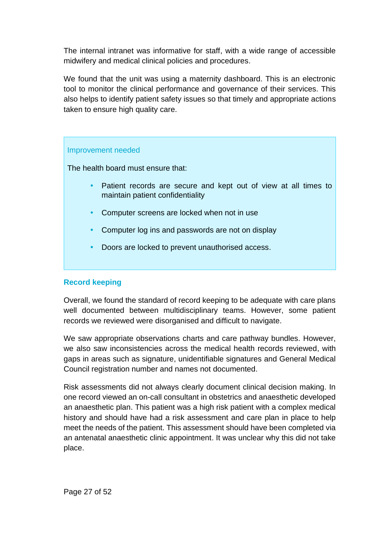The internal intranet was informative for staff, with a wide range of accessible midwifery and medical clinical policies and procedures.

We found that the unit was using a maternity dashboard. This is an electronic tool to monitor the clinical performance and governance of their services. This also helps to identify patient safety issues so that timely and appropriate actions taken to ensure high quality care.

#### Improvement needed

The health board must ensure that:

- Patient records are secure and kept out of view at all times to maintain patient confidentiality
- Computer screens are locked when not in use
- Computer log ins and passwords are not on display
- Doors are locked to prevent unauthorised access.

#### **Record keeping**

Overall, we found the standard of record keeping to be adequate with care plans well documented between multidisciplinary teams. However, some patient records we reviewed were disorganised and difficult to navigate.

We saw appropriate observations charts and care pathway bundles. However, we also saw inconsistencies across the medical health records reviewed, with gaps in areas such as signature, unidentifiable signatures and General Medical Council registration number and names not documented.

Risk assessments did not always clearly document clinical decision making. In one record viewed an on-call consultant in obstetrics and anaesthetic developed an anaesthetic plan. This patient was a high risk patient with a complex medical history and should have had a risk assessment and care plan in place to help meet the needs of the patient. This assessment should have been completed via an antenatal anaesthetic clinic appointment. It was unclear why this did not take place.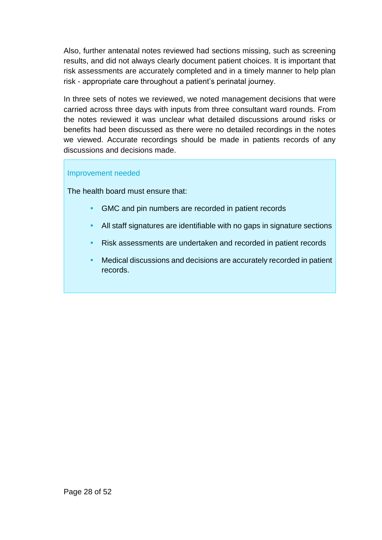Also, further antenatal notes reviewed had sections missing, such as screening results, and did not always clearly document patient choices. It is important that risk assessments are accurately completed and in a timely manner to help plan risk - appropriate care throughout a patient's perinatal journey.

In three sets of notes we reviewed, we noted management decisions that were carried across three days with inputs from three consultant ward rounds. From the notes reviewed it was unclear what detailed discussions around risks or benefits had been discussed as there were no detailed recordings in the notes we viewed. Accurate recordings should be made in patients records of any discussions and decisions made.

#### Improvement needed

The health board must ensure that:

- GMC and pin numbers are recorded in patient records
- All staff signatures are identifiable with no gaps in signature sections
- Risk assessments are undertaken and recorded in patient records
- Medical discussions and decisions are accurately recorded in patient records.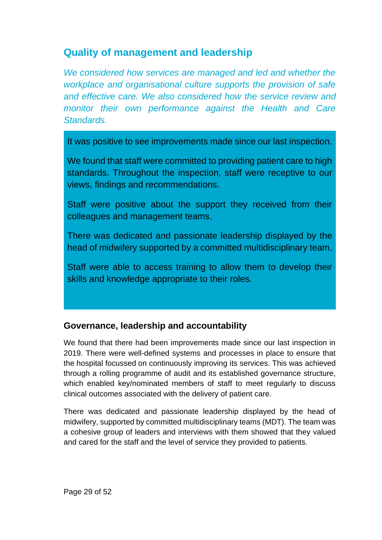## <span id="page-28-0"></span>**Quality of management and leadership**

*We considered how services are managed and led and whether the workplace and organisational culture supports the provision of safe and effective care. We also considered how the service review and monitor their own performance against the Health and Care Standards.*

It was positive to see improvements made since our last inspection.

We found that staff were committed to providing patient care to high standards. Throughout the inspection, staff were receptive to our views, findings and recommendations.

Staff were positive about the support they received from their colleagues and management teams.

There was dedicated and passionate leadership displayed by the head of midwifery supported by a committed multidisciplinary team.

Staff were able to access training to allow them to develop their skills and knowledge appropriate to their roles.

### **Governance, leadership and accountability**

We found that there had been improvements made since our last inspection in 2019. There were well-defined systems and processes in place to ensure that the hospital focussed on continuously improving its services. This was achieved through a rolling programme of audit and its established governance structure, which enabled key/nominated members of staff to meet regularly to discuss clinical outcomes associated with the delivery of patient care.

There was dedicated and passionate leadership displayed by the head of midwifery, supported by committed multidisciplinary teams (MDT). The team was a cohesive group of leaders and interviews with them showed that they valued and cared for the staff and the level of service they provided to patients.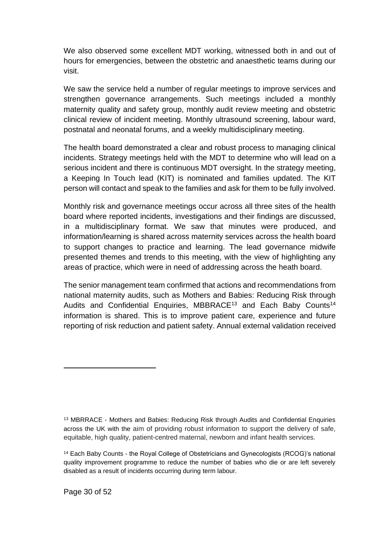We also observed some excellent MDT working, witnessed both in and out of hours for emergencies, between the obstetric and anaesthetic teams during our visit.

We saw the service held a number of regular meetings to improve services and strengthen governance arrangements. Such meetings included a monthly maternity quality and safety group, monthly audit review meeting and obstetric clinical review of incident meeting. Monthly ultrasound screening, labour ward, postnatal and neonatal forums, and a weekly multidisciplinary meeting.

The health board demonstrated a clear and robust process to managing clinical incidents. Strategy meetings held with the MDT to determine who will lead on a serious incident and there is continuous MDT oversight. In the strategy meeting, a Keeping In Touch lead (KIT) is nominated and families updated. The KIT person will contact and speak to the families and ask for them to be fully involved.

Monthly risk and governance meetings occur across all three sites of the health board where reported incidents, investigations and their findings are discussed, in a multidisciplinary format. We saw that minutes were produced, and information/learning is shared across maternity services across the health board to support changes to practice and learning. The lead governance midwife presented themes and trends to this meeting, with the view of highlighting any areas of practice, which were in need of addressing across the heath board.

The senior management team confirmed that actions and recommendations from national maternity audits, such as Mothers and Babies: Reducing Risk through Audits and Confidential Enquiries, MBBRACE<sup>13</sup> and Each Baby Counts<sup>14</sup> information is shared. This is to improve patient care, experience and future reporting of risk reduction and patient safety. Annual external validation received

<sup>13</sup> MBRRACE - Mothers and Babies: Reducing Risk through Audits and Confidential Enquiries across the UK with the aim of providing robust information to support the delivery of safe, equitable, high quality, patient-centred maternal, newborn and infant health services.

<sup>14</sup> Each Baby Counts - the Royal College of Obstetricians and Gynecologists (RCOG)'s national quality improvement programme to reduce the number of babies who die or are left severely disabled as a result of incidents occurring during term labour.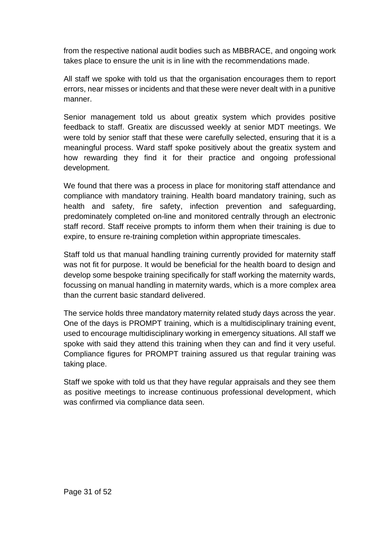from the respective national audit bodies such as MBBRACE, and ongoing work takes place to ensure the unit is in line with the recommendations made.

All staff we spoke with told us that the organisation encourages them to report errors, near misses or incidents and that these were never dealt with in a punitive manner.

Senior management told us about greatix system which provides positive feedback to staff. Greatix are discussed weekly at senior MDT meetings. We were told by senior staff that these were carefully selected, ensuring that it is a meaningful process. Ward staff spoke positively about the greatix system and how rewarding they find it for their practice and ongoing professional development.

We found that there was a process in place for monitoring staff attendance and compliance with mandatory training. Health board mandatory training, such as health and safety, fire safety, infection prevention and safeguarding, predominately completed on-line and monitored centrally through an electronic staff record. Staff receive prompts to inform them when their training is due to expire, to ensure re-training completion within appropriate timescales.

Staff told us that manual handling training currently provided for maternity staff was not fit for purpose. It would be beneficial for the health board to design and develop some bespoke training specifically for staff working the maternity wards, focussing on manual handling in maternity wards, which is a more complex area than the current basic standard delivered.

The service holds three mandatory maternity related study days across the year. One of the days is PROMPT training, which is a multidisciplinary training event, used to encourage multidisciplinary working in emergency situations. All staff we spoke with said they attend this training when they can and find it very useful. Compliance figures for PROMPT training assured us that regular training was taking place.

Staff we spoke with told us that they have regular appraisals and they see them as positive meetings to increase continuous professional development, which was confirmed via compliance data seen.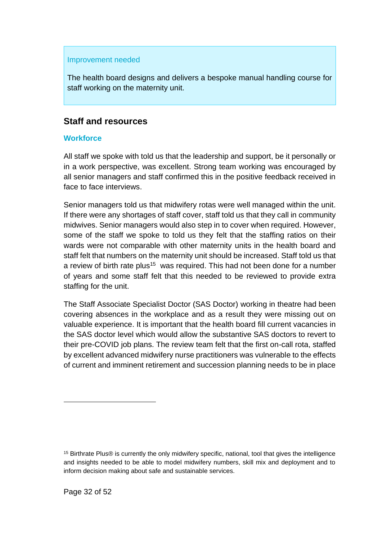#### Improvement needed

The health board designs and delivers a bespoke manual handling course for staff working on the maternity unit.

#### **Staff and resources**

#### **Workforce**

All staff we spoke with told us that the leadership and support, be it personally or in a work perspective, was excellent. Strong team working was encouraged by all senior managers and staff confirmed this in the positive feedback received in face to face interviews.

Senior managers told us that midwifery rotas were well managed within the unit. If there were any shortages of staff cover, staff told us that they call in community midwives. Senior managers would also step in to cover when required. However, some of the staff we spoke to told us they felt that the staffing ratios on their wards were not comparable with other maternity units in the health board and staff felt that numbers on the maternity unit should be increased. Staff told us that a review of birth rate plus<sup>15</sup> was required. This had not been done for a number of years and some staff felt that this needed to be reviewed to provide extra staffing for the unit.

The Staff Associate Specialist Doctor (SAS Doctor) working in theatre had been covering absences in the workplace and as a result they were missing out on valuable experience. It is important that the health board fill current vacancies in the SAS doctor level which would allow the substantive SAS doctors to revert to their pre-COVID job plans. The review team felt that the first on-call rota, staffed by excellent advanced midwifery nurse practitioners was vulnerable to the effects of current and imminent retirement and succession planning needs to be in place

<sup>15</sup> Birthrate Plus® is currently the only midwifery specific, national, tool that gives the intelligence and insights needed to be able to model midwifery numbers, skill mix and deployment and to inform decision making about safe and sustainable services.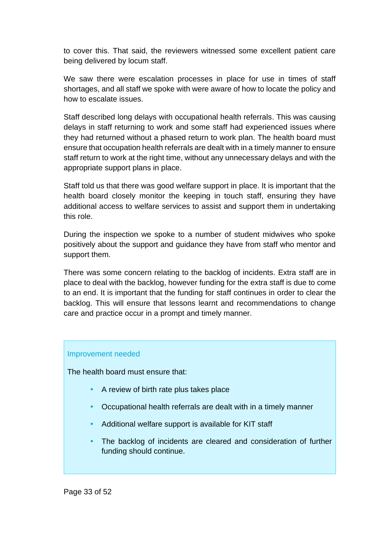to cover this. That said, the reviewers witnessed some excellent patient care being delivered by locum staff.

We saw there were escalation processes in place for use in times of staff shortages, and all staff we spoke with were aware of how to locate the policy and how to escalate issues.

Staff described long delays with occupational health referrals. This was causing delays in staff returning to work and some staff had experienced issues where they had returned without a phased return to work plan. The health board must ensure that occupation health referrals are dealt with in a timely manner to ensure staff return to work at the right time, without any unnecessary delays and with the appropriate support plans in place.

Staff told us that there was good welfare support in place. It is important that the health board closely monitor the keeping in touch staff, ensuring they have additional access to welfare services to assist and support them in undertaking this role.

During the inspection we spoke to a number of student midwives who spoke positively about the support and guidance they have from staff who mentor and support them.

There was some concern relating to the backlog of incidents. Extra staff are in place to deal with the backlog, however funding for the extra staff is due to come to an end. It is important that the funding for staff continues in order to clear the backlog. This will ensure that lessons learnt and recommendations to change care and practice occur in a prompt and timely manner.

#### Improvement needed

The health board must ensure that:

- A review of birth rate plus takes place
- Occupational health referrals are dealt with in a timely manner
- Additional welfare support is available for KIT staff
- The backlog of incidents are cleared and consideration of further funding should continue.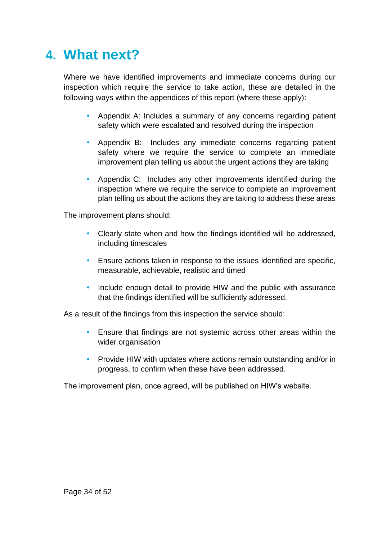## <span id="page-33-0"></span>**4. What next?**

Where we have identified improvements and immediate concerns during our inspection which require the service to take action, these are detailed in the following ways within the appendices of this report (where these apply):

- Appendix A: Includes a summary of any concerns regarding patient safety which were escalated and resolved during the inspection
- Appendix B: Includes any immediate concerns regarding patient safety where we require the service to complete an immediate improvement plan telling us about the urgent actions they are taking
- Appendix C: Includes any other improvements identified during the inspection where we require the service to complete an improvement plan telling us about the actions they are taking to address these areas

The improvement plans should:

- Clearly state when and how the findings identified will be addressed, including timescales
- Ensure actions taken in response to the issues identified are specific, measurable, achievable, realistic and timed
- Include enough detail to provide HIW and the public with assurance that the findings identified will be sufficiently addressed.

As a result of the findings from this inspection the service should:

- Ensure that findings are not systemic across other areas within the wider organisation
- Provide HIW with updates where actions remain outstanding and/or in progress, to confirm when these have been addressed.

The improvement plan, once agreed, will be published on HIW's website.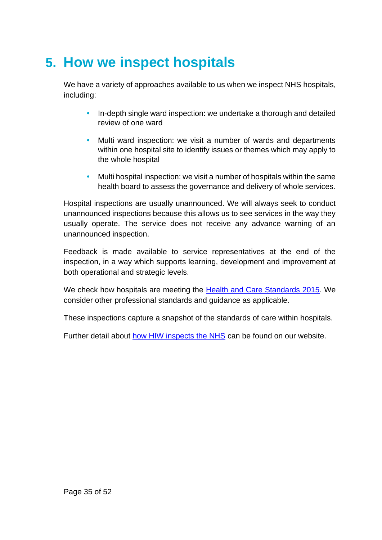## <span id="page-34-0"></span>**5. How we inspect hospitals**

We have a variety of approaches available to us when we inspect NHS hospitals, including:

- In-depth single ward inspection: we undertake a thorough and detailed review of one ward
- Multi ward inspection: we visit a number of wards and departments within one hospital site to identify issues or themes which may apply to the whole hospital
- Multi hospital inspection: we visit a number of hospitals within the same health board to assess the governance and delivery of whole services.

Hospital inspections are usually unannounced. We will always seek to conduct unannounced inspections because this allows us to see services in the way they usually operate. The service does not receive any advance warning of an unannounced inspection.

Feedback is made available to service representatives at the end of the inspection, in a way which supports learning, development and improvement at both operational and strategic levels.

We check how hospitals are meeting the **Health and Care Standards 2015**. We consider other professional standards and guidance as applicable.

These inspections capture a snapshot of the standards of care within hospitals.

Further detail about [how HIW inspects the NHS](https://hiw.org.uk/sites/default/files/2019-05/170328inspectnhsen_0.pdf) can be found on our website.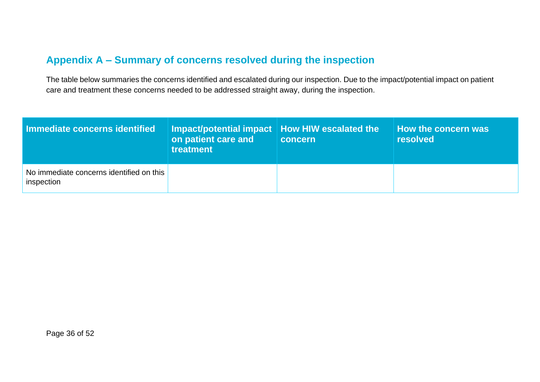## **Appendix A – Summary of concerns resolved during the inspection**

The table below summaries the concerns identified and escalated during our inspection. Due to the impact/potential impact on patient care and treatment these concerns needed to be addressed straight away, during the inspection.

<span id="page-35-0"></span>

| Immediate concerns identified                          | Impact/potential impact   How HIW escalated the<br>on patient care and<br>treatment | concern | How the concern was<br><b>resolved</b> |
|--------------------------------------------------------|-------------------------------------------------------------------------------------|---------|----------------------------------------|
| No immediate concerns identified on this<br>inspection |                                                                                     |         |                                        |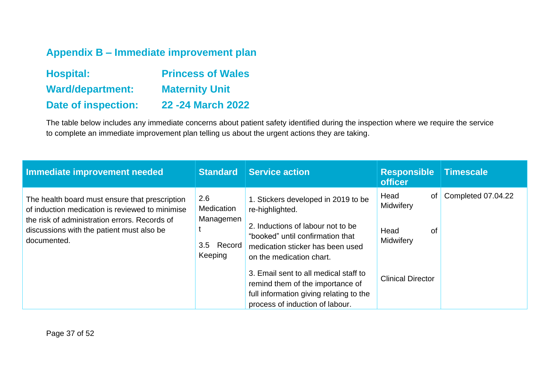## **Appendix B – Immediate improvement plan**

| <b>Hospital:</b>           | <b>Princess of Wales</b> |
|----------------------------|--------------------------|
| <b>Ward/department:</b>    | <b>Maternity Unit</b>    |
| <b>Date of inspection:</b> | 22 - 24 March 2022       |

The table below includes any immediate concerns about patient safety identified during the inspection where we require the service to complete an immediate improvement plan telling us about the urgent actions they are taking.

<span id="page-36-0"></span>

| Immediate improvement needed                                                                                                                                                                                   | <b>Standard</b>                                              | <b>Service action</b>                                                                                                                                                                                                                                                                                                                                      | <b>Responsible</b><br><b>officer</b>                                           | Timescale          |
|----------------------------------------------------------------------------------------------------------------------------------------------------------------------------------------------------------------|--------------------------------------------------------------|------------------------------------------------------------------------------------------------------------------------------------------------------------------------------------------------------------------------------------------------------------------------------------------------------------------------------------------------------------|--------------------------------------------------------------------------------|--------------------|
| The health board must ensure that prescription<br>of induction medication is reviewed to minimise<br>the risk of administration errors. Records of<br>discussions with the patient must also be<br>documented. | 2.6<br>Medication<br>Managemen<br>Record  <br>3.5<br>Keeping | 1. Stickers developed in 2019 to be<br>re-highlighted.<br>2. Inductions of labour not to be<br>"booked" until confirmation that<br>medication sticker has been used<br>on the medication chart.<br>3. Email sent to all medical staff to<br>remind them of the importance of<br>full information giving relating to the<br>process of induction of labour. | Head<br>of<br>Midwifery<br>Head<br>οf<br>Midwifery<br><b>Clinical Director</b> | Completed 07.04.22 |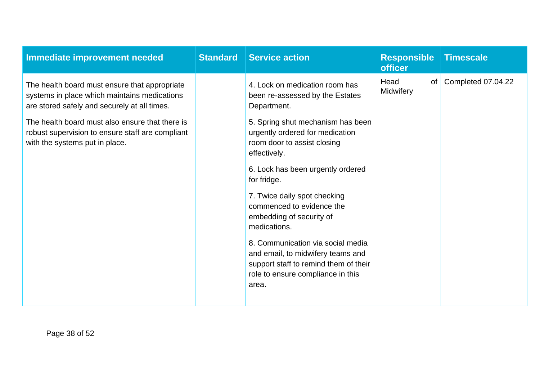| Immediate improvement needed                                                                                                                  | <b>Standard</b> | <b>Service action</b>                                                                                                                                                                                                                   | <b>Responsible</b><br><b>officer</b> | <b>Timescale</b>   |
|-----------------------------------------------------------------------------------------------------------------------------------------------|-----------------|-----------------------------------------------------------------------------------------------------------------------------------------------------------------------------------------------------------------------------------------|--------------------------------------|--------------------|
| The health board must ensure that appropriate<br>systems in place which maintains medications<br>are stored safely and securely at all times. |                 | 4. Lock on medication room has<br>been re-assessed by the Estates<br>Department.                                                                                                                                                        | Head<br>of  <br>Midwifery            | Completed 07.04.22 |
| The health board must also ensure that there is<br>robust supervision to ensure staff are compliant<br>with the systems put in place.         |                 | 5. Spring shut mechanism has been<br>urgently ordered for medication<br>room door to assist closing<br>effectively.<br>6. Lock has been urgently ordered                                                                                |                                      |                    |
|                                                                                                                                               |                 | for fridge.<br>7. Twice daily spot checking<br>commenced to evidence the<br>embedding of security of<br>medications.<br>8. Communication via social media<br>and email, to midwifery teams and<br>support staff to remind them of their |                                      |                    |
|                                                                                                                                               |                 | role to ensure compliance in this<br>area.                                                                                                                                                                                              |                                      |                    |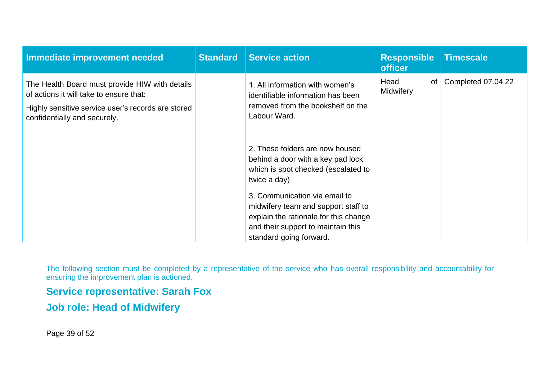| Immediate improvement needed                                                                                                                                                    | <b>Standard</b> | <b>Service action</b>                                                                                                                                                                                                                                                                                         | <b>Responsible</b><br><b>officer</b> | <b>Timescale</b>   |
|---------------------------------------------------------------------------------------------------------------------------------------------------------------------------------|-----------------|---------------------------------------------------------------------------------------------------------------------------------------------------------------------------------------------------------------------------------------------------------------------------------------------------------------|--------------------------------------|--------------------|
| The Health Board must provide HIW with details<br>of actions it will take to ensure that:<br>Highly sensitive service user's records are stored<br>confidentially and securely. |                 | 1. All information with women's<br>identifiable information has been<br>removed from the bookshelf on the<br>Labour Ward.                                                                                                                                                                                     | Head<br>of<br><b>Midwifery</b>       | Completed 07.04.22 |
|                                                                                                                                                                                 |                 | 2. These folders are now housed<br>behind a door with a key pad lock<br>which is spot checked (escalated to<br>twice a day)<br>3. Communication via email to<br>midwifery team and support staff to<br>explain the rationale for this change<br>and their support to maintain this<br>standard going forward. |                                      |                    |

The following section must be completed by a representative of the service who has overall responsibility and accountability for ensuring the improvement plan is actioned.

**Service representative: Sarah Fox**

**Job role: Head of Midwifery**

Page 39 of 52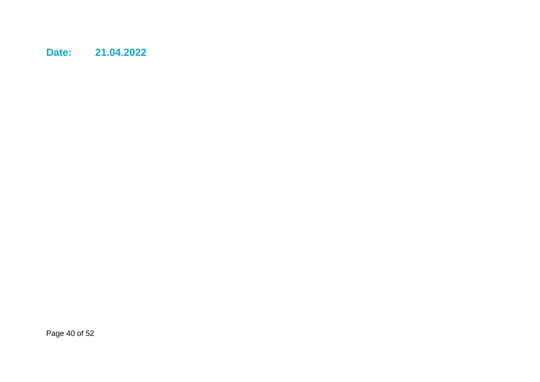**Date: 21.04.2022**

Page 40 of 52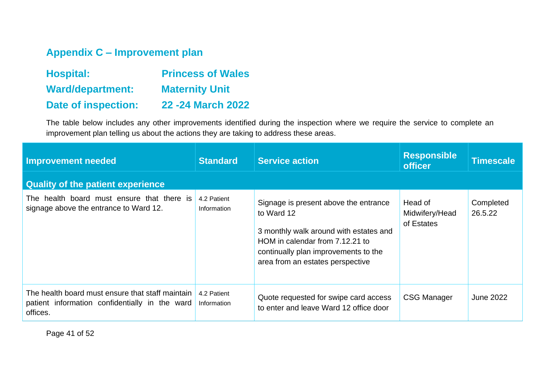## **Appendix C – Improvement plan**

| <b>Hospital:</b>           | <b>Princess of Wales</b> |
|----------------------------|--------------------------|
| <b>Ward/department:</b>    | <b>Maternity Unit</b>    |
| <b>Date of inspection:</b> | 22 - 24 March 2022       |

The table below includes any other improvements identified during the inspection where we require the service to complete an improvement plan telling us about the actions they are taking to address these areas.

<span id="page-40-0"></span>

| <b>Improvement needed</b>                                                                                      | <b>Standard</b>            | <b>Service action</b>                                                                                                                                                                                        | <b>Responsible</b><br><b>officer</b>    | <b>Timescale</b>     |
|----------------------------------------------------------------------------------------------------------------|----------------------------|--------------------------------------------------------------------------------------------------------------------------------------------------------------------------------------------------------------|-----------------------------------------|----------------------|
| <b>Quality of the patient experience</b>                                                                       |                            |                                                                                                                                                                                                              |                                         |                      |
| The health board must ensure that there is<br>signage above the entrance to Ward 12.                           | 4.2 Patient<br>Information | Signage is present above the entrance<br>to Ward 12<br>3 monthly walk around with estates and<br>HOM in calendar from 7.12.21 to<br>continually plan improvements to the<br>area from an estates perspective | Head of<br>Midwifery/Head<br>of Estates | Completed<br>26.5.22 |
| The health board must ensure that staff maintain<br>patient information confidentially in the ward<br>offices. | 4.2 Patient<br>Information | Quote requested for swipe card access<br>to enter and leave Ward 12 office door                                                                                                                              | <b>CSG Manager</b>                      | <b>June 2022</b>     |

Page 41 of 52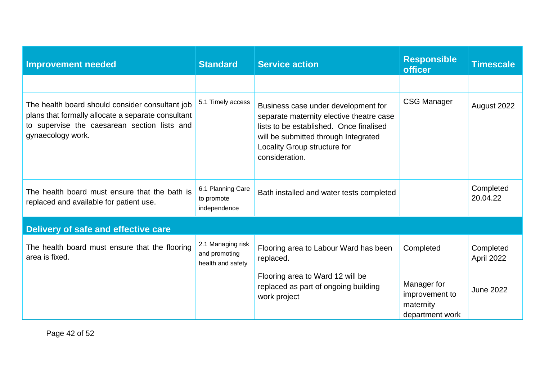| <b>Improvement needed</b>                                                                                                                                                  | <b>Standard</b>                                         | <b>Service action</b>                                                                                                                                                                                                | <b>Responsible</b><br><b>officer</b>                          | <b>Timescale</b>        |
|----------------------------------------------------------------------------------------------------------------------------------------------------------------------------|---------------------------------------------------------|----------------------------------------------------------------------------------------------------------------------------------------------------------------------------------------------------------------------|---------------------------------------------------------------|-------------------------|
|                                                                                                                                                                            |                                                         |                                                                                                                                                                                                                      |                                                               |                         |
| The health board should consider consultant job<br>plans that formally allocate a separate consultant<br>to supervise the caesarean section lists and<br>gynaecology work. | 5.1 Timely access                                       | Business case under development for<br>separate maternity elective theatre case<br>lists to be established. Once finalised<br>will be submitted through Integrated<br>Locality Group structure for<br>consideration. | <b>CSG Manager</b>                                            | August 2022             |
| The health board must ensure that the bath is<br>replaced and available for patient use.                                                                                   | 6.1 Planning Care<br>to promote<br>independence         | Bath installed and water tests completed                                                                                                                                                                             |                                                               | Completed<br>20.04.22   |
| Delivery of safe and effective care                                                                                                                                        |                                                         |                                                                                                                                                                                                                      |                                                               |                         |
| The health board must ensure that the flooring<br>area is fixed.                                                                                                           | 2.1 Managing risk<br>and promoting<br>health and safety | Flooring area to Labour Ward has been<br>replaced.                                                                                                                                                                   | Completed                                                     | Completed<br>April 2022 |
|                                                                                                                                                                            |                                                         | Flooring area to Ward 12 will be<br>replaced as part of ongoing building<br>work project                                                                                                                             | Manager for<br>improvement to<br>maternity<br>department work | <b>June 2022</b>        |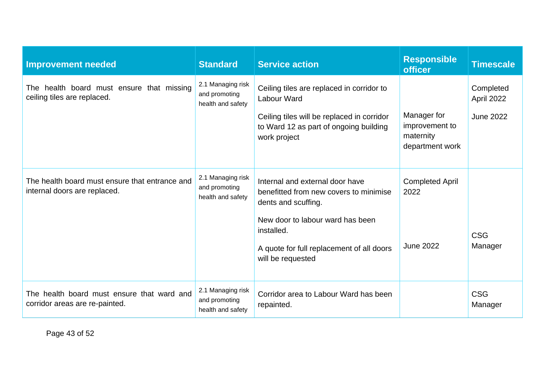| <b>Improvement needed</b>                                                      | <b>Standard</b>                                         | <b>Service action</b>                                                                                                                                                                                                | <b>Responsible</b><br><b>officer</b>                          | <b>Timescale</b>                            |
|--------------------------------------------------------------------------------|---------------------------------------------------------|----------------------------------------------------------------------------------------------------------------------------------------------------------------------------------------------------------------------|---------------------------------------------------------------|---------------------------------------------|
| The health board must ensure that missing<br>ceiling tiles are replaced.       | 2.1 Managing risk<br>and promoting<br>health and safety | Ceiling tiles are replaced in corridor to<br>Labour Ward<br>Ceiling tiles will be replaced in corridor<br>to Ward 12 as part of ongoing building<br>work project                                                     | Manager for<br>improvement to<br>maternity<br>department work | Completed<br>April 2022<br><b>June 2022</b> |
| The health board must ensure that entrance and<br>internal doors are replaced. | 2.1 Managing risk<br>and promoting<br>health and safety | Internal and external door have<br>benefitted from new covers to minimise<br>dents and scuffing.<br>New door to labour ward has been<br>installed.<br>A quote for full replacement of all doors<br>will be requested | <b>Completed April</b><br>2022<br><b>June 2022</b>            | <b>CSG</b><br>Manager                       |
| The health board must ensure that ward and<br>corridor areas are re-painted.   | 2.1 Managing risk<br>and promoting<br>health and safety | Corridor area to Labour Ward has been<br>repainted.                                                                                                                                                                  |                                                               | <b>CSG</b><br>Manager                       |

Page 43 of 52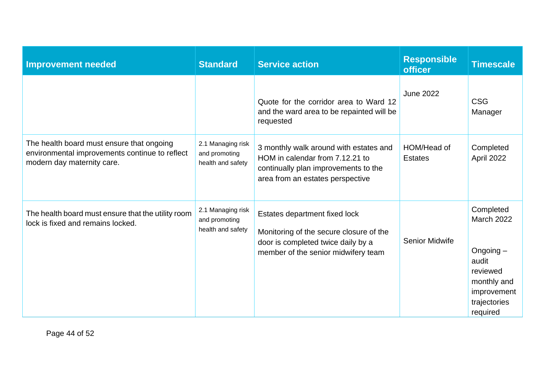| <b>Improvement needed</b>                                                                                                 | <b>Standard</b>                                         | <b>Service action</b>                                                                                                                                 | <b>Responsible</b><br><b>officer</b> | <b>Timescale</b>                                                                                                             |
|---------------------------------------------------------------------------------------------------------------------------|---------------------------------------------------------|-------------------------------------------------------------------------------------------------------------------------------------------------------|--------------------------------------|------------------------------------------------------------------------------------------------------------------------------|
|                                                                                                                           |                                                         | Quote for the corridor area to Ward 12<br>and the ward area to be repainted will be<br>requested                                                      | <b>June 2022</b>                     | <b>CSG</b><br>Manager                                                                                                        |
| The health board must ensure that ongoing<br>environmental improvements continue to reflect<br>modern day maternity care. | 2.1 Managing risk<br>and promoting<br>health and safety | 3 monthly walk around with estates and<br>HOM in calendar from 7.12.21 to<br>continually plan improvements to the<br>area from an estates perspective | HOM/Head of<br><b>Estates</b>        | Completed<br>April 2022                                                                                                      |
| The health board must ensure that the utility room<br>lock is fixed and remains locked.                                   | 2.1 Managing risk<br>and promoting<br>health and safety | Estates department fixed lock<br>Monitoring of the secure closure of the<br>door is completed twice daily by a<br>member of the senior midwifery team | <b>Senior Midwife</b>                | Completed<br><b>March 2022</b><br>Ongoing $-$<br>audit<br>reviewed<br>monthly and<br>improvement<br>trajectories<br>required |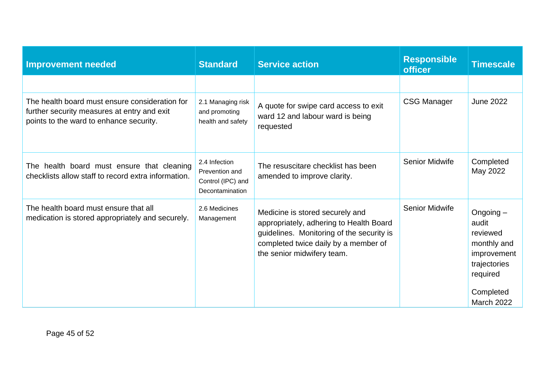| <b>Improvement needed</b>                                                                                                                | <b>Standard</b>                                                         | <b>Service action</b>                                                                                                                                                                         | <b>Responsible</b><br><b>officer</b> | <b>Timescale</b>                                                                                                             |
|------------------------------------------------------------------------------------------------------------------------------------------|-------------------------------------------------------------------------|-----------------------------------------------------------------------------------------------------------------------------------------------------------------------------------------------|--------------------------------------|------------------------------------------------------------------------------------------------------------------------------|
|                                                                                                                                          |                                                                         |                                                                                                                                                                                               |                                      |                                                                                                                              |
| The health board must ensure consideration for<br>further security measures at entry and exit<br>points to the ward to enhance security. | 2.1 Managing risk<br>and promoting<br>health and safety                 | A quote for swipe card access to exit<br>ward 12 and labour ward is being<br>requested                                                                                                        | <b>CSG Manager</b>                   | <b>June 2022</b>                                                                                                             |
| The health board must ensure that cleaning<br>checklists allow staff to record extra information.                                        | 2.4 Infection<br>Prevention and<br>Control (IPC) and<br>Decontamination | The resuscitare checklist has been<br>amended to improve clarity.                                                                                                                             | <b>Senior Midwife</b>                | Completed<br>May 2022                                                                                                        |
| The health board must ensure that all<br>medication is stored appropriately and securely.                                                | 2.6 Medicines<br>Management                                             | Medicine is stored securely and<br>appropriately, adhering to Health Board<br>guidelines. Monitoring of the security is<br>completed twice daily by a member of<br>the senior midwifery team. | <b>Senior Midwife</b>                | Ongoing $-$<br>audit<br>reviewed<br>monthly and<br>improvement<br>trajectories<br>required<br>Completed<br><b>March 2022</b> |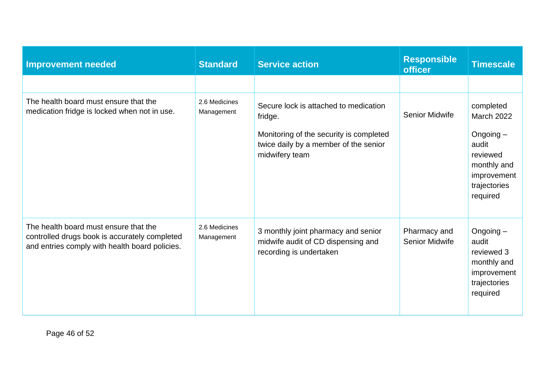| <b>Improvement needed</b>                                                                                                                | <b>Standard</b>             | <b>Service action</b>                                                                                                                                  | <b>Responsible</b><br><b>officer</b>  | <b>Timescale</b>                                                                                                             |
|------------------------------------------------------------------------------------------------------------------------------------------|-----------------------------|--------------------------------------------------------------------------------------------------------------------------------------------------------|---------------------------------------|------------------------------------------------------------------------------------------------------------------------------|
|                                                                                                                                          |                             |                                                                                                                                                        |                                       |                                                                                                                              |
| The health board must ensure that the<br>medication fridge is locked when not in use.                                                    | 2.6 Medicines<br>Management | Secure lock is attached to medication<br>fridge.<br>Monitoring of the security is completed<br>twice daily by a member of the senior<br>midwifery team | <b>Senior Midwife</b>                 | completed<br><b>March 2022</b><br>Ongoing $-$<br>audit<br>reviewed<br>monthly and<br>improvement<br>trajectories<br>required |
| The health board must ensure that the<br>controlled drugs book is accurately completed<br>and entries comply with health board policies. | 2.6 Medicines<br>Management | 3 monthly joint pharmacy and senior<br>midwife audit of CD dispensing and<br>recording is undertaken                                                   | Pharmacy and<br><b>Senior Midwife</b> | Ongoing $-$<br>audit<br>reviewed 3<br>monthly and<br>improvement<br>trajectories<br>required                                 |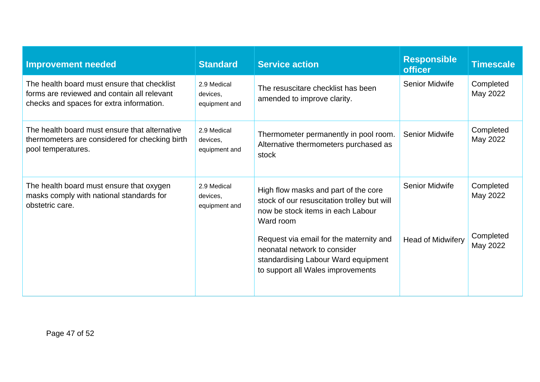| <b>Improvement needed</b>                                                                                                              | <b>Standard</b>                          | <b>Service action</b>                                                                                                                               | <b>Responsible</b><br><b>officer</b> | <b>Timescale</b>      |
|----------------------------------------------------------------------------------------------------------------------------------------|------------------------------------------|-----------------------------------------------------------------------------------------------------------------------------------------------------|--------------------------------------|-----------------------|
| The health board must ensure that checklist<br>forms are reviewed and contain all relevant<br>checks and spaces for extra information. | 2.9 Medical<br>devices,<br>equipment and | The resuscitare checklist has been<br>amended to improve clarity.                                                                                   | <b>Senior Midwife</b>                | Completed<br>May 2022 |
| The health board must ensure that alternative<br>thermometers are considered for checking birth<br>pool temperatures.                  | 2.9 Medical<br>devices,<br>equipment and | Thermometer permanently in pool room.<br>Alternative thermometers purchased as<br>stock                                                             | <b>Senior Midwife</b>                | Completed<br>May 2022 |
| The health board must ensure that oxygen<br>masks comply with national standards for<br>obstetric care.                                | 2.9 Medical<br>devices.<br>equipment and | High flow masks and part of the core<br>stock of our resuscitation trolley but will<br>now be stock items in each Labour<br>Ward room               | <b>Senior Midwife</b>                | Completed<br>May 2022 |
|                                                                                                                                        |                                          | Request via email for the maternity and<br>neonatal network to consider<br>standardising Labour Ward equipment<br>to support all Wales improvements | <b>Head of Midwifery</b>             | Completed<br>May 2022 |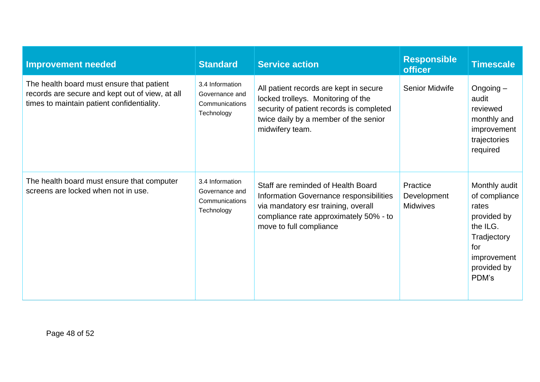| <b>Improvement needed</b>                                                                                                                  | <b>Standard</b>                                                   | <b>Service action</b>                                                                                                                                                                     | <b>Responsible</b><br><b>officer</b>       | <b>Timescale</b>                                                                                                                |
|--------------------------------------------------------------------------------------------------------------------------------------------|-------------------------------------------------------------------|-------------------------------------------------------------------------------------------------------------------------------------------------------------------------------------------|--------------------------------------------|---------------------------------------------------------------------------------------------------------------------------------|
| The health board must ensure that patient<br>records are secure and kept out of view, at all<br>times to maintain patient confidentiality. | 3.4 Information<br>Governance and<br>Communications<br>Technology | All patient records are kept in secure<br>locked trolleys. Monitoring of the<br>security of patient records is completed<br>twice daily by a member of the senior<br>midwifery team.      | <b>Senior Midwife</b>                      | Ongoing $-$<br>audit<br>reviewed<br>monthly and<br>improvement<br>trajectories<br>required                                      |
| The health board must ensure that computer<br>screens are locked when not in use.                                                          | 3.4 Information<br>Governance and<br>Communications<br>Technology | Staff are reminded of Health Board<br>Information Governance responsibilities<br>via mandatory esr training, overall<br>compliance rate approximately 50% - to<br>move to full compliance | Practice<br>Development<br><b>Midwives</b> | Monthly audit<br>of compliance<br>rates<br>provided by<br>the ILG.<br>Tradjectory<br>for<br>improvement<br>provided by<br>PDM's |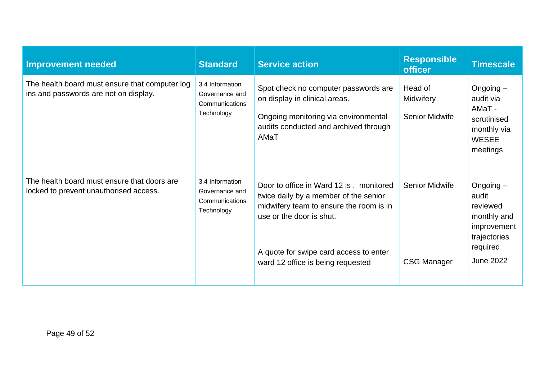| <b>Improvement needed</b>                                                               | <b>Standard</b>                                                   | <b>Service action</b>                                                                                                                                                                                                                   | <b>Responsible</b><br><b>officer</b>          | <b>Timescale</b>                                                                                               |
|-----------------------------------------------------------------------------------------|-------------------------------------------------------------------|-----------------------------------------------------------------------------------------------------------------------------------------------------------------------------------------------------------------------------------------|-----------------------------------------------|----------------------------------------------------------------------------------------------------------------|
| The health board must ensure that computer log<br>ins and passwords are not on display. | 3.4 Information<br>Governance and<br>Communications<br>Technology | Spot check no computer passwords are<br>on display in clinical areas.<br>Ongoing monitoring via environmental<br>audits conducted and archived through<br>AMaT                                                                          | Head of<br>Midwifery<br><b>Senior Midwife</b> | Ongoing $-$<br>audit via<br>AMaT-<br>scrutinised<br>monthly via<br><b>WESEE</b><br>meetings                    |
| The health board must ensure that doors are<br>locked to prevent unauthorised access.   | 3.4 Information<br>Governance and<br>Communications<br>Technology | Door to office in Ward 12 is . monitored<br>twice daily by a member of the senior<br>midwifery team to ensure the room is in<br>use or the door is shut.<br>A quote for swipe card access to enter<br>ward 12 office is being requested | <b>Senior Midwife</b><br><b>CSG Manager</b>   | Ongoing $-$<br>audit<br>reviewed<br>monthly and<br>improvement<br>trajectories<br>required<br><b>June 2022</b> |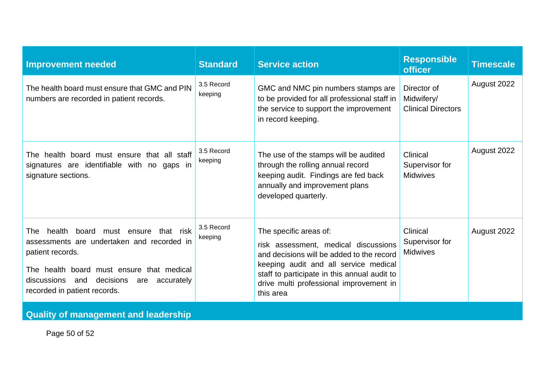| <b>Improvement needed</b>                                                                                                                                                                                                                        | <b>Standard</b>       | <b>Service action</b>                                                                                                                                                                                                                                        | <b>Responsible</b><br><b>officer</b>                   | <b>Timescale</b> |
|--------------------------------------------------------------------------------------------------------------------------------------------------------------------------------------------------------------------------------------------------|-----------------------|--------------------------------------------------------------------------------------------------------------------------------------------------------------------------------------------------------------------------------------------------------------|--------------------------------------------------------|------------------|
| The health board must ensure that GMC and PIN<br>numbers are recorded in patient records.                                                                                                                                                        | 3.5 Record<br>keeping | GMC and NMC pin numbers stamps are<br>to be provided for all professional staff in<br>the service to support the improvement<br>in record keeping.                                                                                                           | Director of<br>Midwifery/<br><b>Clinical Directors</b> | August 2022      |
| The health board must ensure that all staff<br>signatures are identifiable with no gaps in<br>signature sections.                                                                                                                                | 3.5 Record<br>keeping | The use of the stamps will be audited<br>through the rolling annual record<br>keeping audit. Findings are fed back<br>annually and improvement plans<br>developed quarterly.                                                                                 | Clinical<br>Supervisor for<br><b>Midwives</b>          | August 2022      |
| health board must ensure that risk<br>The<br>assessments are undertaken and recorded in<br>patient records.<br>The health board must ensure that medical<br>discussions<br>decisions<br>and<br>accurately<br>are<br>recorded in patient records. | 3.5 Record<br>keeping | The specific areas of:<br>risk assessment, medical discussions<br>and decisions will be added to the record<br>keeping audit and all service medical<br>staff to participate in this annual audit to<br>drive multi professional improvement in<br>this area | Clinical<br>Supervisor for<br><b>Midwives</b>          | August 2022      |
| <b>Quality of management and leadership</b>                                                                                                                                                                                                      |                       |                                                                                                                                                                                                                                                              |                                                        |                  |

Page 50 of 52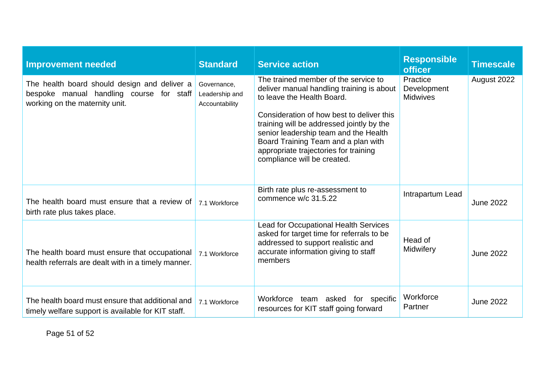| <b>Improvement needed</b>                                                                                                  | <b>Standard</b>                                 | <b>Service action</b>                                                                                                                                                                                                                                                                                                                                             | <b>Responsible</b><br><b>officer</b>       | <b>Timescale</b> |
|----------------------------------------------------------------------------------------------------------------------------|-------------------------------------------------|-------------------------------------------------------------------------------------------------------------------------------------------------------------------------------------------------------------------------------------------------------------------------------------------------------------------------------------------------------------------|--------------------------------------------|------------------|
| The health board should design and deliver a<br>bespoke manual handling course for staff<br>working on the maternity unit. | Governance,<br>Leadership and<br>Accountability | The trained member of the service to<br>deliver manual handling training is about<br>to leave the Health Board.<br>Consideration of how best to deliver this<br>training will be addressed jointly by the<br>senior leadership team and the Health<br>Board Training Team and a plan with<br>appropriate trajectories for training<br>compliance will be created. | Practice<br>Development<br><b>Midwives</b> | August 2022      |
| The health board must ensure that a review of<br>birth rate plus takes place.                                              | 7.1 Workforce                                   | Birth rate plus re-assessment to<br>commence w/c 31.5.22                                                                                                                                                                                                                                                                                                          | Intrapartum Lead                           | <b>June 2022</b> |
| The health board must ensure that occupational<br>health referrals are dealt with in a timely manner.                      | 7.1 Workforce                                   | Lead for Occupational Health Services<br>asked for target time for referrals to be<br>addressed to support realistic and<br>accurate information giving to staff<br>members                                                                                                                                                                                       | Head of<br>Midwifery                       | <b>June 2022</b> |
| The health board must ensure that additional and<br>timely welfare support is available for KIT staff.                     | 7.1 Workforce                                   | Workforce team asked<br>for specific<br>resources for KIT staff going forward                                                                                                                                                                                                                                                                                     | Workforce<br>Partner                       | <b>June 2022</b> |

Page 51 of 52